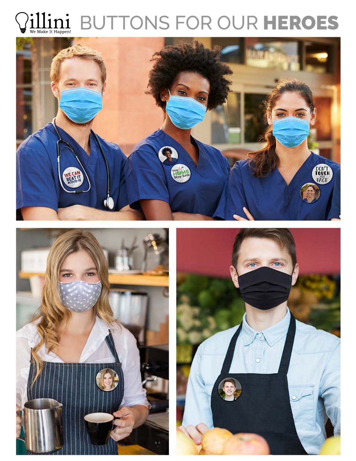## $\displaystyle\prod_{\tiny{\textrm{We Make it Happen}}}$ BUTTONS FOR OUR HEROES